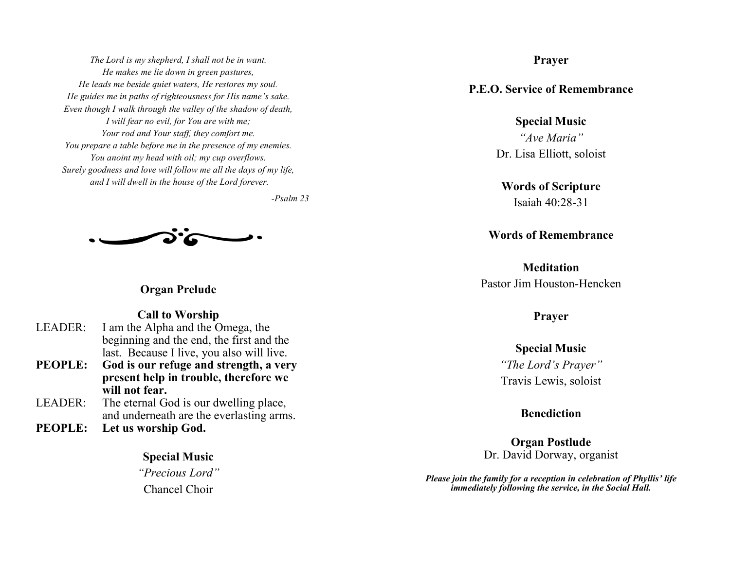*The Lord is my shepherd, I shall not be in want. He makes me lie down in green pastures, He leads me beside quiet waters, He restores my soul. He guides me in paths of righteousness for His name's sake. Even though I walk through the valley of the shadow of death, I will fear no evil, for You are with me; Your rod and Your staff, they comfort me. You prepare a table before me in the presence of my enemies. You anoint my head with oil; my cup overflows. Surely goodness and love will follow me all the days of my life, and I will dwell in the house of the Lord forever.*

*-Psalm 23*



**Organ Prelude**

**Call to Worship**

- LEADER: I am the Alpha and the Omega, the beginning and the end, the first and the last. Because I live, you also will live.
- **PEOPLE: God is our refuge and strength, a very present help in trouble, therefore we will not fear.**
- LEADER: The eternal God is our dwelling place, and underneath are the everlasting arms.
- **PEOPLE: Let us worship God.**

**Special Music**

*"Precious Lord"* Chancel Choir

**Prayer**

**P.E.O. Service of Remembrance**

**Special Music** *"Ave Maria"* Dr. Lisa Elliott, soloist

**Words of Scripture** Isaiah 40:28-31

**Words of Remembrance**

**Meditation** Pastor Jim Houston-Hencken

**Prayer**

**Special Music** *"The Lord's Prayer"* Travis Lewis, soloist

**Benediction**

**Organ Postlude** Dr. David Dorway, organist

*Please join the family for a reception in celebration of Phyllis' life immediately following the service, in the Social Hall.*